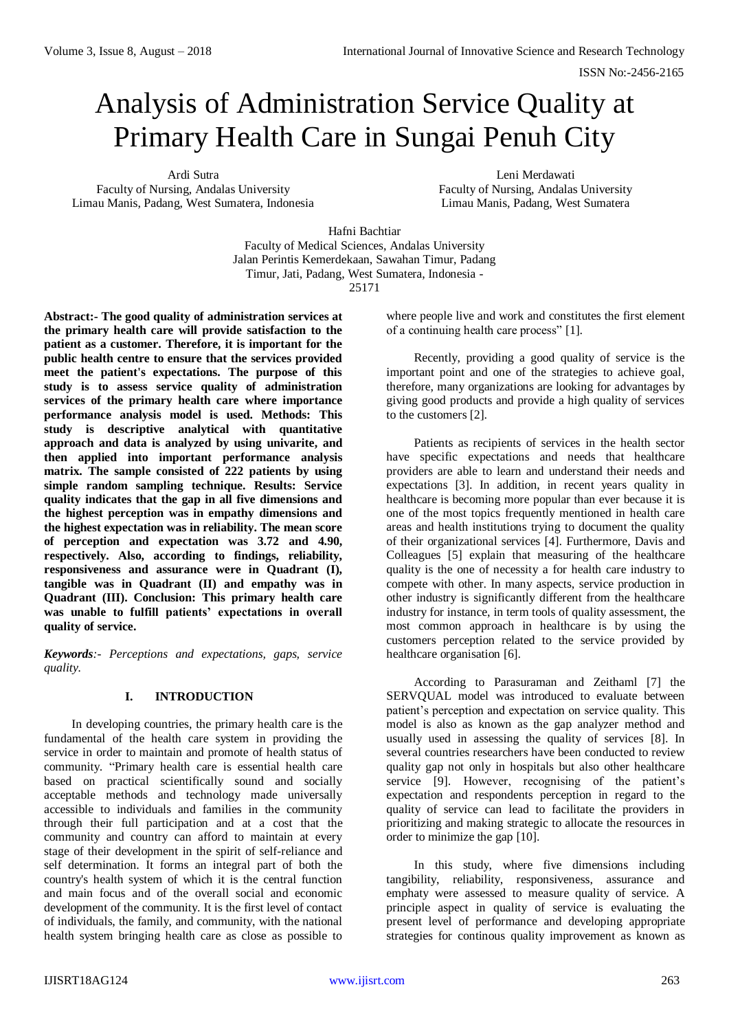# Analysis of Administration Service Quality at Primary Health Care in Sungai Penuh City

Ardi Sutra Faculty of Nursing, Andalas University Limau Manis, Padang, West Sumatera, Indonesia

Leni Merdawati Faculty of Nursing, Andalas University Limau Manis, Padang, West Sumatera

Hafni Bachtiar

Faculty of Medical Sciences, Andalas University Jalan Perintis Kemerdekaan, Sawahan Timur, Padang Timur, Jati, Padang, West Sumatera, Indonesia - 25171

**Abstract:- The good quality of administration services at the primary health care will provide satisfaction to the patient as a customer. Therefore, it is important for the public health centre to ensure that the services provided meet the patient's expectations. The purpose of this study is to assess service quality of administration services of the primary health care where importance performance analysis model is used. Methods: This study is descriptive analytical with quantitative approach and data is analyzed by using univarite, and then applied into important performance analysis matrix. The sample consisted of 222 patients by using simple random sampling technique. Results: Service quality indicates that the gap in all five dimensions and the highest perception was in empathy dimensions and the highest expectation was in reliability. The mean score of perception and expectation was 3.72 and 4.90, respectively. Also, according to findings, reliability, responsiveness and assurance were in Quadrant (I), tangible was in Quadrant (II) and empathy was in Quadrant (III). Conclusion: This primary health care was unable to fulfill patients' expectations in overall quality of service.** 

*Keywords:- Perceptions and expectations, gaps, service quality.*

## **I. INTRODUCTION**

In developing countries, the primary health care is the fundamental of the health care system in providing the service in order to maintain and promote of health status of community. "Primary health care is essential health care based on practical scientifically sound and socially acceptable methods and technology made universally accessible to individuals and families in the community through their full participation and at a cost that the community and country can afford to maintain at every stage of their development in the spirit of self-reliance and self determination. It forms an integral part of both the country's health system of which it is the central function and main focus and of the overall social and economic development of the community. It is the first level of contact of individuals, the family, and community, with the national health system bringing health care as close as possible to

where people live and work and constitutes the first element of a continuing health care process" [1].

Recently, providing a good quality of service is the important point and one of the strategies to achieve goal, therefore, many organizations are looking for advantages by giving good products and provide a high quality of services to the customers [2].

Patients as recipients of services in the health sector have specific expectations and needs that healthcare providers are able to learn and understand their needs and expectations [3]. In addition, in recent years quality in healthcare is becoming more popular than ever because it is one of the most topics frequently mentioned in health care areas and health institutions trying to document the quality of their organizational services [4]. Furthermore, Davis and Colleagues [5] explain that measuring of the healthcare quality is the one of necessity a for health care industry to compete with other. In many aspects, service production in other industry is significantly different from the healthcare industry for instance, in term tools of quality assessment, the most common approach in healthcare is by using the customers perception related to the service provided by healthcare organisation [6].

According to Parasuraman and Zeithaml [7] the SERVQUAL model was introduced to evaluate between patient's perception and expectation on service quality. This model is also as known as the gap analyzer method and usually used in assessing the quality of services [8]. In several countries researchers have been conducted to review quality gap not only in hospitals but also other healthcare service [9]. However, recognising of the patient's expectation and respondents perception in regard to the quality of service can lead to facilitate the providers in prioritizing and making strategic to allocate the resources in order to minimize the gap [10].

In this study, where five dimensions including tangibility, reliability, responsiveness, assurance and emphaty were assessed to measure quality of service. A principle aspect in quality of service is evaluating the present level of performance and developing appropriate strategies for continous quality improvement as known as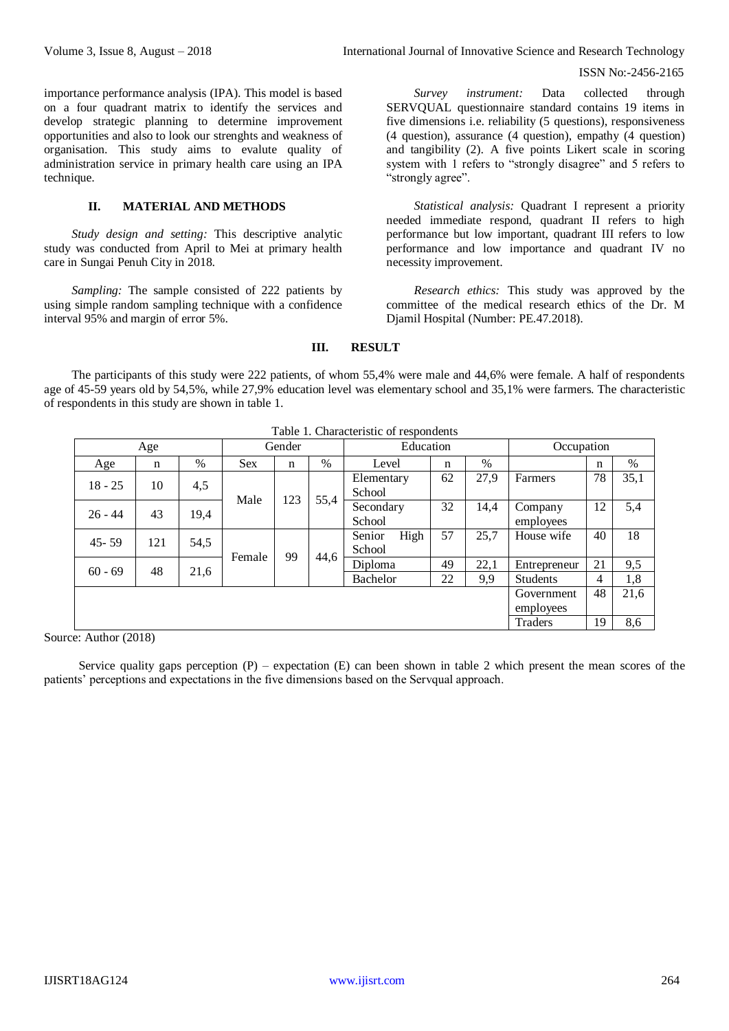importance performance analysis (IPA). This model is based on a four quadrant matrix to identify the services and develop strategic planning to determine improvement opportunities and also to look our strenghts and weakness of organisation. This study aims to evalute quality of administration service in primary health care using an IPA technique.

## **II. MATERIAL AND METHODS**

*Study design and setting:* This descriptive analytic study was conducted from April to Mei at primary health care in Sungai Penuh City in 2018.

*Sampling:* The sample consisted of 222 patients by using simple random sampling technique with a confidence interval 95% and margin of error 5%.

*Survey instrument:* Data collected through SERVQUAL questionnaire standard contains 19 items in five dimensions i.e. reliability (5 questions), responsiveness (4 question), assurance (4 question), empathy (4 question) and tangibility (2). A five points Likert scale in scoring system with 1 refers to "strongly disagree" and 5 refers to "strongly agree".

*Statistical analysis:* Quadrant I represent a priority needed immediate respond, quadrant II refers to high performance but low important, quadrant III refers to low performance and low importance and quadrant IV no necessity improvement.

*Research ethics:* This study was approved by the committee of the medical research ethics of the Dr. M Djamil Hospital (Number: PE.47.2018).

#### **III. RESULT**

The participants of this study were 222 patients, of whom 55,4% were male and 44,6% were female. A half of respondents age of 45-59 years old by 54,5%, while 27,9% education level was elementary school and 35,1% were farmers. The characteristic of respondents in this study are shown in table 1.

|           | Age                                |            |            | Gender |      | Education                |    |      | Occupation              |    |      |
|-----------|------------------------------------|------------|------------|--------|------|--------------------------|----|------|-------------------------|----|------|
| Age       | n                                  | $\%$       | <b>Sex</b> | n      | %    | Level                    | n  | %    |                         | n  | %    |
| $18 - 25$ | 10                                 | 4,5        | Male       |        | 55,4 | Elementary<br>School     | 62 | 27,9 | Farmers                 | 78 | 35,1 |
| $26 - 44$ | 43                                 | 19,4       |            | 123    |      | Secondary<br>School      | 32 | 14,4 | Company<br>employees    | 12 | 5,4  |
| $45 - 59$ | 121                                | 54,5       | Female     | 99     |      | Senior<br>High<br>School | 57 | 25,7 | House wife              | 40 | 18   |
| $60 - 69$ |                                    | 48<br>21,6 |            |        | 44,6 | Diploma                  | 49 | 22,1 | Entrepreneur            | 21 | 9,5  |
|           |                                    |            |            |        |      | Bachelor                 | 22 | 9,9  | <b>Students</b>         | 4  | 1,8  |
|           |                                    |            |            |        |      |                          |    |      | Government<br>employees | 48 | 21,6 |
| . .       | $\sim$ $\sim$ $\sim$ $\sim$ $\sim$ |            |            |        |      |                          |    |      | Traders                 | 19 | 8,6  |

Table 1. Characteristic of respondents

Source: Author (2018)

Service quality gaps perception  $(P)$  – expectation  $(E)$  can been shown in table 2 which present the mean scores of the patients' perceptions and expectations in the five dimensions based on the Servqual approach.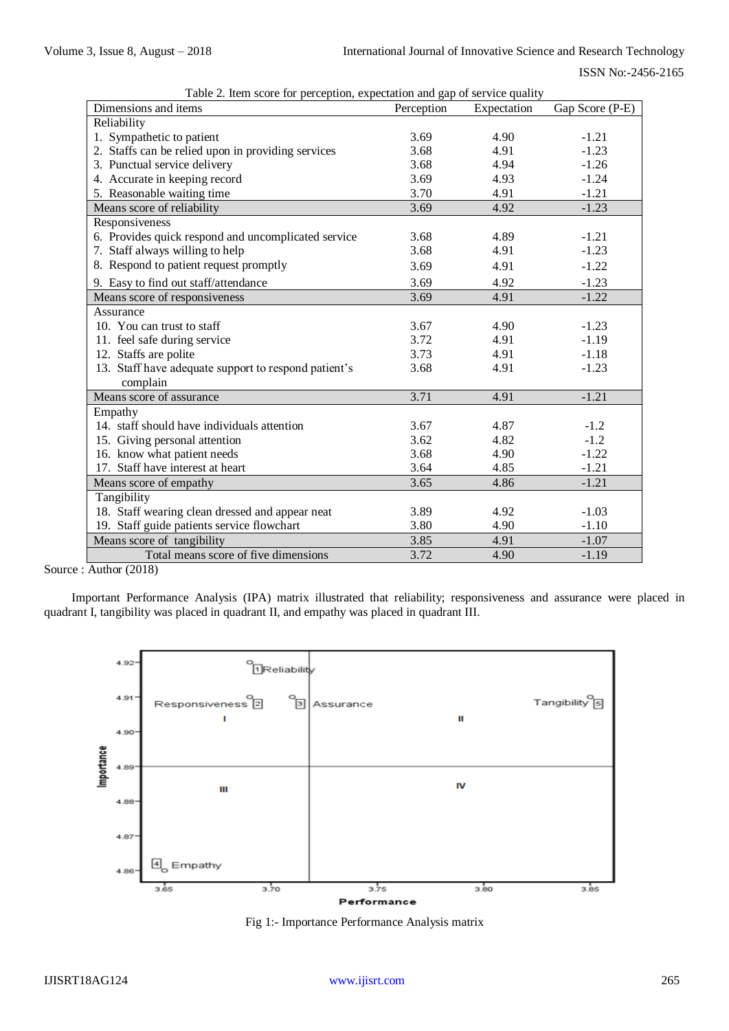| Gap Score (P-E)<br>Reliability<br>1. Sympathetic to patient<br>3.69<br>4.90<br>$-1.21$<br>2. Staffs can be relied upon in providing services<br>4.91<br>$-1.23$<br>3.68<br>3. Punctual service delivery<br>3.68<br>4.94<br>$-1.26$<br>4. Accurate in keeping record<br>4.93<br>3.69<br>$-1.24$<br>5. Reasonable waiting time<br>3.70<br>4.91<br>$-1.21$<br>3.69<br>Means score of reliability<br>4.92<br>$-1.23$<br>Responsiveness<br>6. Provides quick respond and uncomplicated service<br>3.68<br>$-1.21$<br>4.89<br>7. Staff always willing to help<br>3.68<br>4.91<br>$-1.23$<br>8. Respond to patient request promptly<br>3.69<br>4.91<br>$-1.22$<br>9. Easy to find out staff/attendance<br>3.69<br>4.92<br>$-1.23$<br>$-1.22$<br>Means score of responsiveness<br>3.69<br>4.91<br>Assurance<br>10. You can trust to staff<br>3.67<br>4.90<br>$-1.23$<br>11. feel safe during service<br>4.91<br>3.72<br>$-1.19$<br>12. Staffs are polite<br>3.73<br>4.91<br>$-1.18$<br>13. Staff have adequate support to respond patient's<br>3.68<br>4.91<br>$-1.23$<br>complain<br>3.71<br>$-1.21$<br>Means score of assurance<br>4.91<br>Empathy<br>14. staff should have individuals attention<br>4.87<br>$-1.2$<br>3.67 |
|-----------------------------------------------------------------------------------------------------------------------------------------------------------------------------------------------------------------------------------------------------------------------------------------------------------------------------------------------------------------------------------------------------------------------------------------------------------------------------------------------------------------------------------------------------------------------------------------------------------------------------------------------------------------------------------------------------------------------------------------------------------------------------------------------------------------------------------------------------------------------------------------------------------------------------------------------------------------------------------------------------------------------------------------------------------------------------------------------------------------------------------------------------------------------------------------------------------------------|
|                                                                                                                                                                                                                                                                                                                                                                                                                                                                                                                                                                                                                                                                                                                                                                                                                                                                                                                                                                                                                                                                                                                                                                                                                       |
|                                                                                                                                                                                                                                                                                                                                                                                                                                                                                                                                                                                                                                                                                                                                                                                                                                                                                                                                                                                                                                                                                                                                                                                                                       |
|                                                                                                                                                                                                                                                                                                                                                                                                                                                                                                                                                                                                                                                                                                                                                                                                                                                                                                                                                                                                                                                                                                                                                                                                                       |
|                                                                                                                                                                                                                                                                                                                                                                                                                                                                                                                                                                                                                                                                                                                                                                                                                                                                                                                                                                                                                                                                                                                                                                                                                       |
|                                                                                                                                                                                                                                                                                                                                                                                                                                                                                                                                                                                                                                                                                                                                                                                                                                                                                                                                                                                                                                                                                                                                                                                                                       |
|                                                                                                                                                                                                                                                                                                                                                                                                                                                                                                                                                                                                                                                                                                                                                                                                                                                                                                                                                                                                                                                                                                                                                                                                                       |
|                                                                                                                                                                                                                                                                                                                                                                                                                                                                                                                                                                                                                                                                                                                                                                                                                                                                                                                                                                                                                                                                                                                                                                                                                       |
|                                                                                                                                                                                                                                                                                                                                                                                                                                                                                                                                                                                                                                                                                                                                                                                                                                                                                                                                                                                                                                                                                                                                                                                                                       |
|                                                                                                                                                                                                                                                                                                                                                                                                                                                                                                                                                                                                                                                                                                                                                                                                                                                                                                                                                                                                                                                                                                                                                                                                                       |
|                                                                                                                                                                                                                                                                                                                                                                                                                                                                                                                                                                                                                                                                                                                                                                                                                                                                                                                                                                                                                                                                                                                                                                                                                       |
|                                                                                                                                                                                                                                                                                                                                                                                                                                                                                                                                                                                                                                                                                                                                                                                                                                                                                                                                                                                                                                                                                                                                                                                                                       |
|                                                                                                                                                                                                                                                                                                                                                                                                                                                                                                                                                                                                                                                                                                                                                                                                                                                                                                                                                                                                                                                                                                                                                                                                                       |
|                                                                                                                                                                                                                                                                                                                                                                                                                                                                                                                                                                                                                                                                                                                                                                                                                                                                                                                                                                                                                                                                                                                                                                                                                       |
|                                                                                                                                                                                                                                                                                                                                                                                                                                                                                                                                                                                                                                                                                                                                                                                                                                                                                                                                                                                                                                                                                                                                                                                                                       |
|                                                                                                                                                                                                                                                                                                                                                                                                                                                                                                                                                                                                                                                                                                                                                                                                                                                                                                                                                                                                                                                                                                                                                                                                                       |
|                                                                                                                                                                                                                                                                                                                                                                                                                                                                                                                                                                                                                                                                                                                                                                                                                                                                                                                                                                                                                                                                                                                                                                                                                       |
|                                                                                                                                                                                                                                                                                                                                                                                                                                                                                                                                                                                                                                                                                                                                                                                                                                                                                                                                                                                                                                                                                                                                                                                                                       |
|                                                                                                                                                                                                                                                                                                                                                                                                                                                                                                                                                                                                                                                                                                                                                                                                                                                                                                                                                                                                                                                                                                                                                                                                                       |
|                                                                                                                                                                                                                                                                                                                                                                                                                                                                                                                                                                                                                                                                                                                                                                                                                                                                                                                                                                                                                                                                                                                                                                                                                       |
|                                                                                                                                                                                                                                                                                                                                                                                                                                                                                                                                                                                                                                                                                                                                                                                                                                                                                                                                                                                                                                                                                                                                                                                                                       |
|                                                                                                                                                                                                                                                                                                                                                                                                                                                                                                                                                                                                                                                                                                                                                                                                                                                                                                                                                                                                                                                                                                                                                                                                                       |
|                                                                                                                                                                                                                                                                                                                                                                                                                                                                                                                                                                                                                                                                                                                                                                                                                                                                                                                                                                                                                                                                                                                                                                                                                       |
| 15. Giving personal attention<br>3.62<br>4.82<br>$-1.2$                                                                                                                                                                                                                                                                                                                                                                                                                                                                                                                                                                                                                                                                                                                                                                                                                                                                                                                                                                                                                                                                                                                                                               |
| 16. know what patient needs<br>3.68<br>4.90<br>$-1.22$                                                                                                                                                                                                                                                                                                                                                                                                                                                                                                                                                                                                                                                                                                                                                                                                                                                                                                                                                                                                                                                                                                                                                                |
| 17. Staff have interest at heart<br>3.64<br>4.85<br>$-1.21$                                                                                                                                                                                                                                                                                                                                                                                                                                                                                                                                                                                                                                                                                                                                                                                                                                                                                                                                                                                                                                                                                                                                                           |
| 3.65<br>Means score of empathy<br>4.86<br>$-1.21$                                                                                                                                                                                                                                                                                                                                                                                                                                                                                                                                                                                                                                                                                                                                                                                                                                                                                                                                                                                                                                                                                                                                                                     |
| Tangibility                                                                                                                                                                                                                                                                                                                                                                                                                                                                                                                                                                                                                                                                                                                                                                                                                                                                                                                                                                                                                                                                                                                                                                                                           |
| 18. Staff wearing clean dressed and appear neat<br>3.89<br>4.92<br>$-1.03$                                                                                                                                                                                                                                                                                                                                                                                                                                                                                                                                                                                                                                                                                                                                                                                                                                                                                                                                                                                                                                                                                                                                            |
| 19. Staff guide patients service flowchart<br>3.80<br>4.90<br>$-1.10$                                                                                                                                                                                                                                                                                                                                                                                                                                                                                                                                                                                                                                                                                                                                                                                                                                                                                                                                                                                                                                                                                                                                                 |
| Means score of tangibility<br>3.85<br>4.91<br>$-1.07$                                                                                                                                                                                                                                                                                                                                                                                                                                                                                                                                                                                                                                                                                                                                                                                                                                                                                                                                                                                                                                                                                                                                                                 |
| Total means score of five dimensions<br>3.72<br>4.90<br>$-1.19$                                                                                                                                                                                                                                                                                                                                                                                                                                                                                                                                                                                                                                                                                                                                                                                                                                                                                                                                                                                                                                                                                                                                                       |

Table 2. Item score for perception, expectation and gap of service quality

Source : Author (2018)

Important Performance Analysis (IPA) matrix illustrated that reliability; responsiveness and assurance were placed in quadrant I, tangibility was placed in quadrant II, and empathy was placed in quadrant III.



Fig 1:- Importance Performance Analysis matrix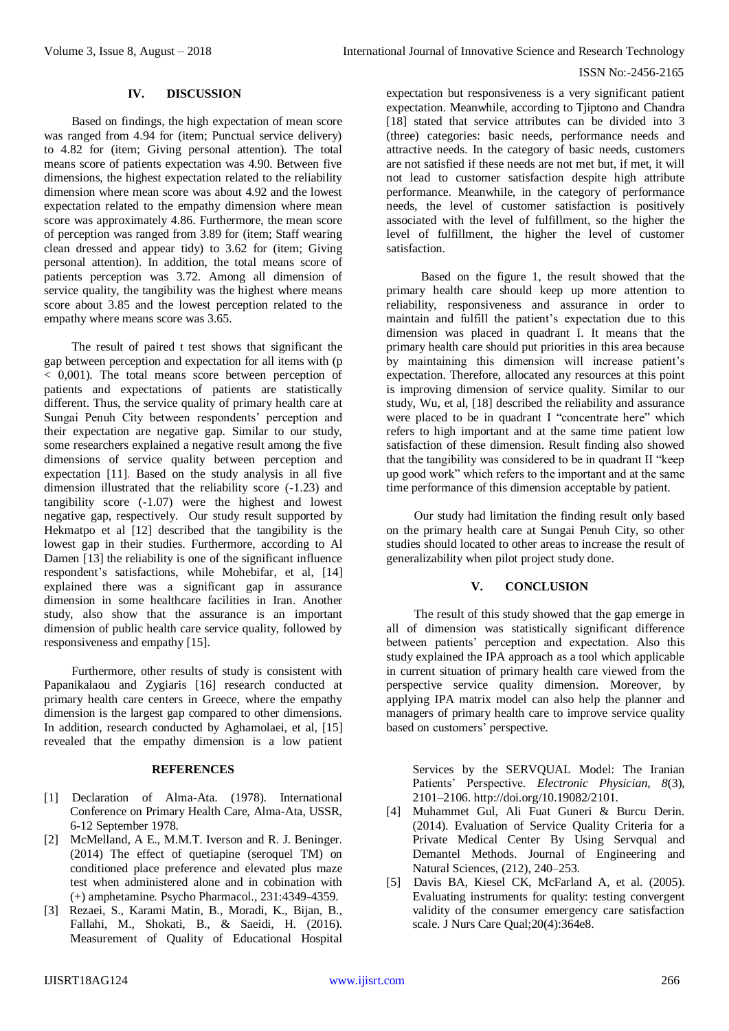### **IV. DISCUSSION**

Based on findings, the high expectation of mean score was ranged from 4.94 for (item; Punctual service delivery) to 4.82 for (item; Giving personal attention). The total means score of patients expectation was 4.90. Between five dimensions, the highest expectation related to the reliability dimension where mean score was about 4.92 and the lowest expectation related to the empathy dimension where mean score was approximately 4.86. Furthermore, the mean score of perception was ranged from 3.89 for (item; Staff wearing clean dressed and appear tidy) to 3.62 for (item; Giving personal attention). In addition, the total means score of patients perception was 3.72. Among all dimension of service quality, the tangibility was the highest where means score about 3.85 and the lowest perception related to the empathy where means score was 3.65.

The result of paired t test shows that significant the gap between perception and expectation for all items with (p < 0,001). The total means score between perception of patients and expectations of patients are statistically different. Thus, the service quality of primary health care at Sungai Penuh City between respondents' perception and their expectation are negative gap. Similar to our study, some researchers explained a negative result among the five dimensions of service quality between perception and expectation [11]. Based on the study analysis in all five dimension illustrated that the reliability score (-1.23) and tangibility score (-1.07) were the highest and lowest negative gap, respectively. Our study result supported by Hekmatpo et al [12] described that the tangibility is the lowest gap in their studies. Furthermore, according to Al Damen [13] the reliability is one of the significant influence respondent's satisfactions, while Mohebifar, et al, [14] explained there was a significant gap in assurance dimension in some healthcare facilities in Iran. Another study, also show that the assurance is an important dimension of public health care service quality, followed by responsiveness and empathy [15].

Furthermore, other results of study is consistent with Papanikalaou and Zygiaris [16] research conducted at primary health care centers in Greece, where the empathy dimension is the largest gap compared to other dimensions. In addition, research conducted by Aghamolaei, et al, [15] revealed that the empathy dimension is a low patient

#### **REFERENCES**

- [1] Declaration of Alma-Ata. (1978). International Conference on Primary Health Care, Alma-Ata, USSR, 6-12 September 1978.
- [2] McMelland, A E., M.M.T. Iverson and R. J. Beninger. (2014) The effect of quetiapine (seroquel TM) on conditioned place preference and elevated plus maze test when administered alone and in cobination with (+) amphetamine. Psycho Pharmacol., 231:4349-4359.
- [3] Rezaei, S., Karami Matin, B., Moradi, K., Bijan, B., Fallahi, M., Shokati, B., & Saeidi, H. (2016). Measurement of Quality of Educational Hospital

expectation but responsiveness is a very significant patient expectation. Meanwhile, according to Tjiptono and Chandra [18] stated that service attributes can be divided into 3 (three) categories: basic needs, performance needs and attractive needs. In the category of basic needs, customers are not satisfied if these needs are not met but, if met, it will not lead to customer satisfaction despite high attribute performance. Meanwhile, in the category of performance needs, the level of customer satisfaction is positively associated with the level of fulfillment, so the higher the level of fulfillment, the higher the level of customer satisfaction.

Based on the figure 1, the result showed that the primary health care should keep up more attention to reliability, responsiveness and assurance in order to maintain and fulfill the patient's expectation due to this dimension was placed in quadrant I. It means that the primary health care should put priorities in this area because by maintaining this dimension will increase patient's expectation. Therefore, allocated any resources at this point is improving dimension of service quality. Similar to our study, Wu, et al, [18] described the reliability and assurance were placed to be in quadrant I "concentrate here" which refers to high important and at the same time patient low satisfaction of these dimension. Result finding also showed that the tangibility was considered to be in quadrant II "keep up good work" which refers to the important and at the same time performance of this dimension acceptable by patient.

Our study had limitation the finding result only based on the primary health care at Sungai Penuh City, so other studies should located to other areas to increase the result of generalizability when pilot project study done.

## **V. CONCLUSION**

The result of this study showed that the gap emerge in all of dimension was statistically significant difference between patients' perception and expectation. Also this study explained the IPA approach as a tool which applicable in current situation of primary health care viewed from the perspective service quality dimension. Moreover, by applying IPA matrix model can also help the planner and managers of primary health care to improve service quality based on customers' perspective.

Services by the SERVQUAL Model: The Iranian Patients' Perspective. *Electronic Physician*, *8*(3), 2101–2106. [http://doi.org/10.19082/2101.](http://doi.org/10.19082/2101)

- [4] Muhammet Gul, Ali Fuat Guneri & Burcu Derin. (2014). Evaluation of Service Quality Criteria for a Private Medical Center By Using Servqual and Demantel Methods. Journal of Engineering and Natural Sciences, (212), 240–253.
- [5] Davis BA, Kiesel CK, McFarland A, et al. (2005). Evaluating instruments for quality: testing convergent validity of the consumer emergency care satisfaction scale. J Nurs Care Qual;20(4):364e8.